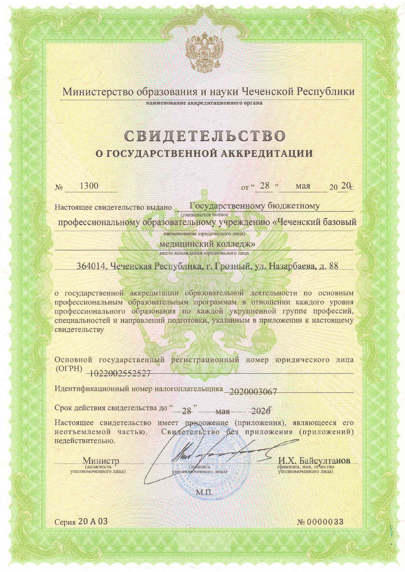Министерство образования и науки Чеченской Республики наименование аккредитационного органа

# СВИДЕТЕЛЬСТВО О ГОСУДАРСТВЕННОЙ АККРЕДИТАЦИИ

1300  $N<sub>2</sub>$ 

 $or$  "  $28$ " мая  $20\ 20$ <sub>r</sub>

Государственному бюджетному Настоящее свидетельство выдано (указывается полное

профессиональному образовательному учреждению «Чеченский базовый

наименование юридического лица) медицинский колледж»

место нахождения юридического лица

364014, Чеченская Республика, г. Грозный, ул. Назарбаева, д. 88

о государственной аккредитации образовательной деятельности по основным профессиональным образовательным программам в отношении каждого уровня профессионального образования по каждой укрупненной группе профессий, специальностей и направлений подготовки, указанным в приложении к настоящему свидетельству

Основной государственный регистрационный номер юридического лица  $(OTPH)$   $+022002552527$ 

Идентификационный номер налогоплательщика 2020003067

Срок действия свидетельства до "\_28" мая 2026

Настоящее свидетельство имеет приложение (приложения), являющееся его Свидетельство без приложения (приложений) неотъемлемой частью. недействительно.

Министр (должность<br>уполномоченного лица)

(полномоченного лица)

М.П.

И.Х. Байсултанов

Серия 20 A 03

№0000033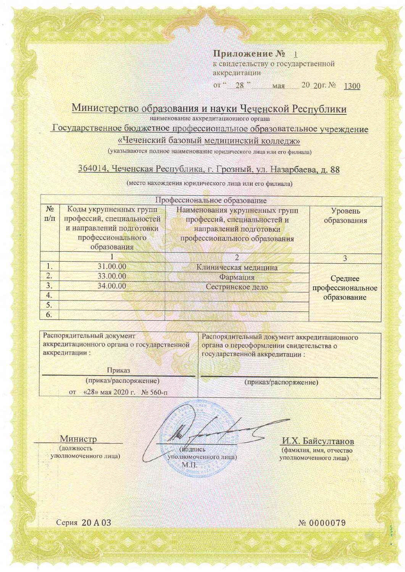Приложение № 1 к свидетельству о государственной аккредитации

or "28" мая  $20\,20$  T.  $N_2$ 1300

## Министерство образования и науки Чеченской Республики

наименование аккредитационного органа

Государственное бюджетное профессиональное образовательное учреждение

### «Чеченский базовый медицинский колледж»

(указываются полное наименование юридического лица или его филиала)

### 364014, Чеченская Республика, г. Грозный, ул. Назарбаева, д. 88

(место нахождения юридического лица или его филиала)

| Профессиональное образование |                           |                                |                  |  |
|------------------------------|---------------------------|--------------------------------|------------------|--|
| $N_2$                        | Коды укрупненных групп    | Наименования укрупненных групп | Уровень          |  |
| $\Pi/\Pi$                    | профессий, специальностей | профессий, специальностей и    | образования      |  |
|                              | и направлений подготовки  | направлений подготовки         |                  |  |
|                              | профессионального         | профессионального образования  |                  |  |
|                              | образования               |                                |                  |  |
|                              |                           | $\overline{2}$                 | $\mathcal{E}$    |  |
| 1.                           | 31.00.00                  | Клиническая медицина           |                  |  |
| $\overline{2}$ .             | 33.00.00                  | Фармация                       | Среднее          |  |
| 3.                           | 34.00.00                  | Сестринское дело               | профессиональное |  |
| 4.                           |                           |                                | образование      |  |
| 5.                           |                           |                                |                  |  |
| 6.                           |                           |                                |                  |  |

Распорядительный документ аккредитационного органа о государственной аккредитации:

Распорядительный документ аккредитационного органа о переоформлении свидетельства о государственной аккредитации:

Приказ (приказ/распоряжение)

«28» мая 2020 г. № 560-п **OT** 

(приказ/распоряжение)

Министр (должность уполномоченного лица)

(иодпись уполномоченного лица)

М.П.

И.Х. Байсултанов (фамилия, имя, отчество уполномоченного лица)

Серия 20 A 03

№ 0000079